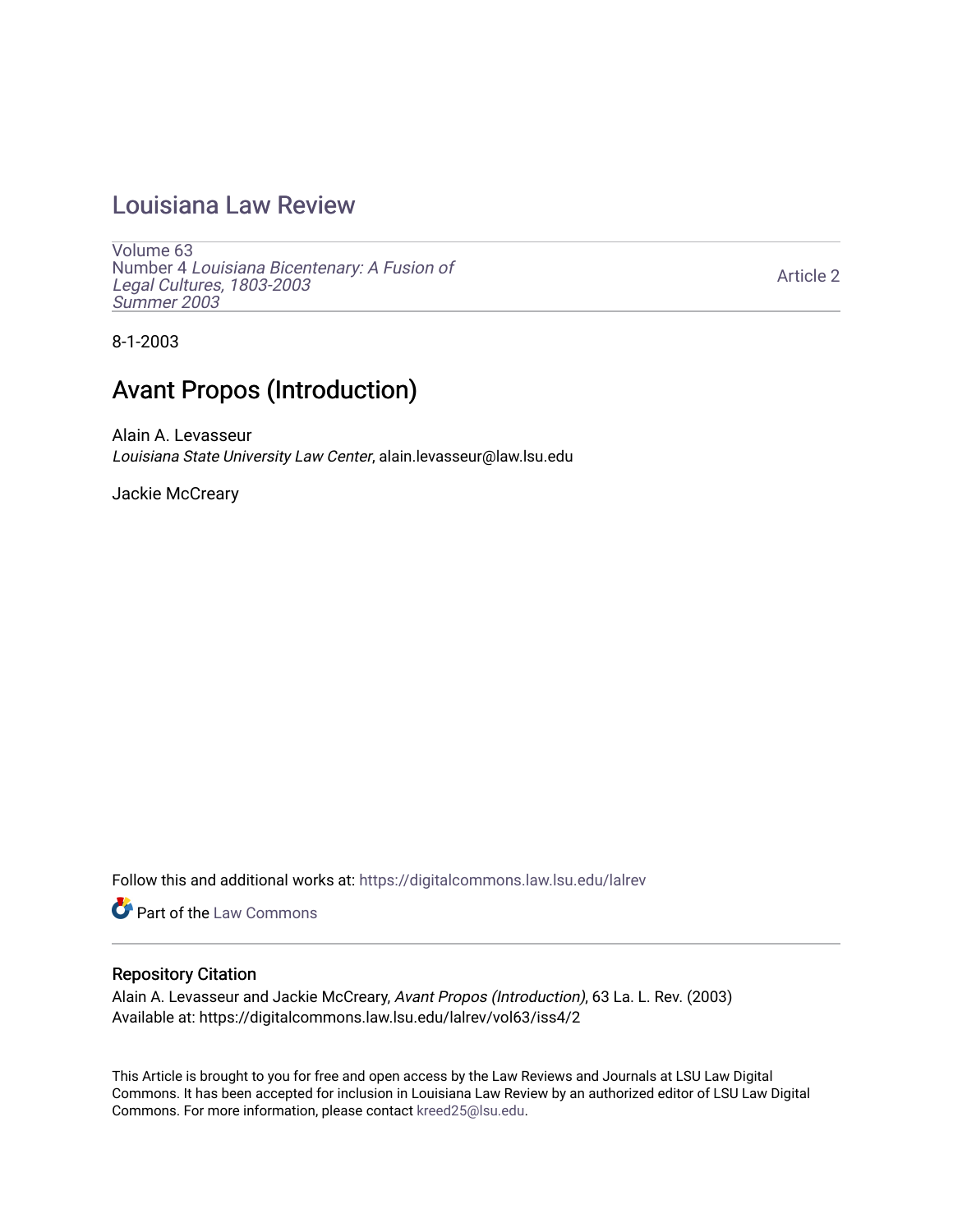## [Louisiana Law Review](https://digitalcommons.law.lsu.edu/lalrev)

[Volume 63](https://digitalcommons.law.lsu.edu/lalrev/vol63) Number 4 [Louisiana Bicentenary: A Fusion of](https://digitalcommons.law.lsu.edu/lalrev/vol63/iss4) [Legal Cultures, 1803-2003](https://digitalcommons.law.lsu.edu/lalrev/vol63/iss4) [Summer 2003](https://digitalcommons.law.lsu.edu/lalrev/vol63/iss4) 

[Article 2](https://digitalcommons.law.lsu.edu/lalrev/vol63/iss4/2) 

8-1-2003

## Avant Propos (Introduction)

Alain A. Levasseur Louisiana State University Law Center, alain.levasseur@law.lsu.edu

Jackie McCreary

Follow this and additional works at: [https://digitalcommons.law.lsu.edu/lalrev](https://digitalcommons.law.lsu.edu/lalrev?utm_source=digitalcommons.law.lsu.edu%2Flalrev%2Fvol63%2Fiss4%2F2&utm_medium=PDF&utm_campaign=PDFCoverPages)

Part of the [Law Commons](https://network.bepress.com/hgg/discipline/578?utm_source=digitalcommons.law.lsu.edu%2Flalrev%2Fvol63%2Fiss4%2F2&utm_medium=PDF&utm_campaign=PDFCoverPages)

## Repository Citation

Alain A. Levasseur and Jackie McCreary, Avant Propos (Introduction), 63 La. L. Rev. (2003) Available at: https://digitalcommons.law.lsu.edu/lalrev/vol63/iss4/2

This Article is brought to you for free and open access by the Law Reviews and Journals at LSU Law Digital Commons. It has been accepted for inclusion in Louisiana Law Review by an authorized editor of LSU Law Digital Commons. For more information, please contact [kreed25@lsu.edu](mailto:kreed25@lsu.edu).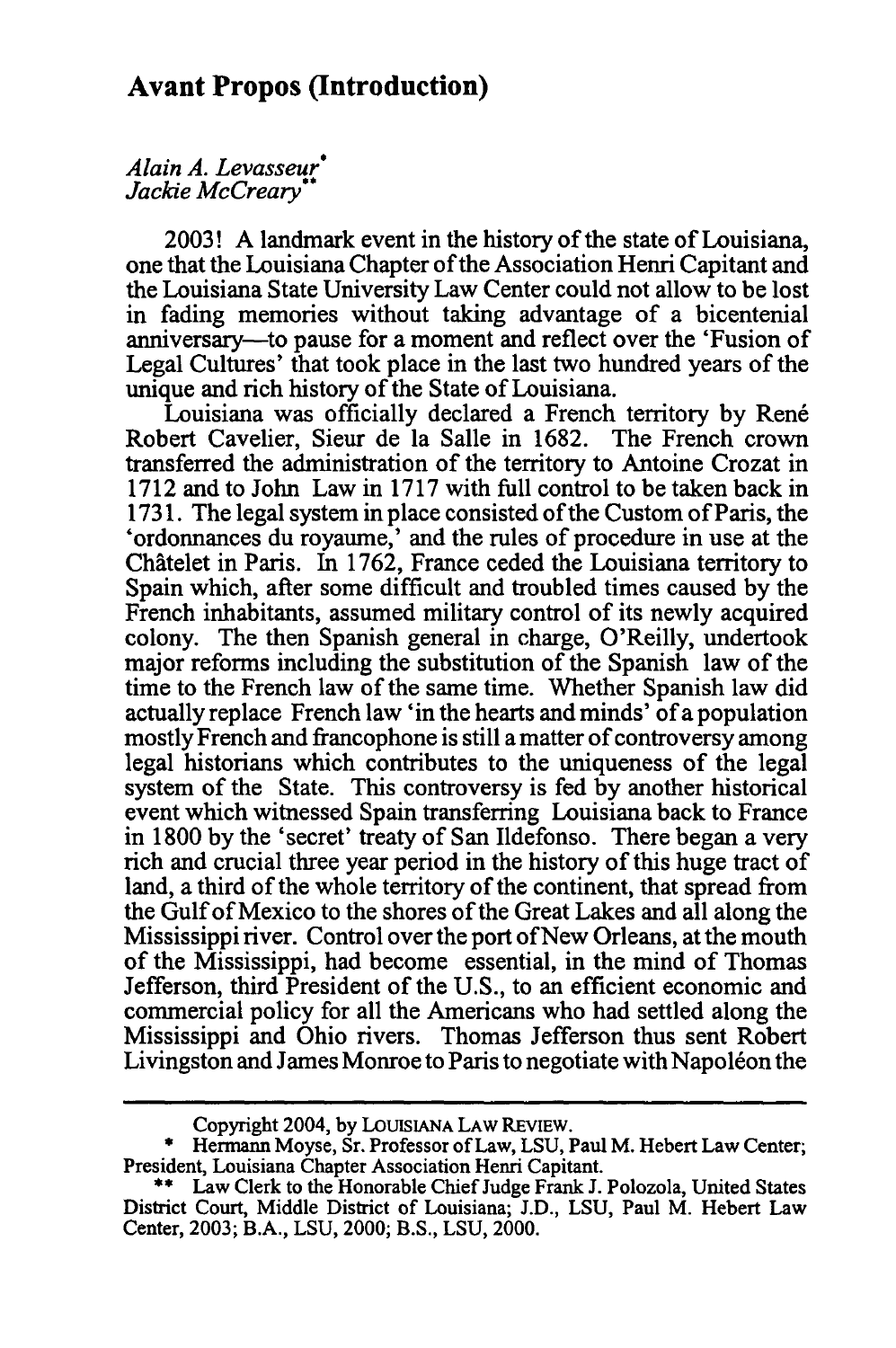*Alain A. Levasseur\* JackieMcCreary/* 

2003! A landmark event in the history of the state of Louisiana, one that the Louisiana Chapter ofthe Association Henri Capitant and the Louisiana State University Law Center could not allow to be lost in fading memories without taking advantage of a bicentenial anniversary-to pause for a moment and reflect over the 'Fusion of Legal Cultures' that took place in the last two hundred years of the unique and rich history of the State of Louisiana.

Louisiana was officially declared a French territory by René Robert Cavelier, Sieur de la Salle in 1682. The French crown transferred the administration of the territory to Antoine Crozat in 1712 and to John Law in 1717 with full control to be taken back in 1731. The legal system in place consisted of the Custom of Paris, the 'ordonnances du royaume,' and the rules of procedure in use at the Châtelet in Paris. In 1762, France ceded the Louisiana territory to Spain which, after some difficult and troubled times caused by the French inhabitants, assumed military control of its newly acquired colony. The then Spanish general in charge, O'Reilly, undertook major reforms including the substitution of the Spanish law of the time to the French law of the same time. Whether Spanish law did actually replace French law 'in the hearts and minds' ofa population mostly French and francophone is still a matter of controversy among legal historians which contributes to the uniqueness of the legal system of the State. This controversy is fed by another historical event which witnessed Spain transferring Louisiana back to France in 1800 by the 'secret' treaty of San Ildefonso. There began a very rich and crucial three year period in the history of this huge tract of land, a third of the whole territory of the continent, that spread from the Gulfof Mexico to the shores of the Great Lakes and all along the Mississippi river. Control over the port of New Orleans, at the mouth of the Mississippi, had become essential, in the mind of Thomas Jefferson, third President of the U.S., to an efficient economic and commercial policy for all the Americans who had settled along the Mississippi and Ohio rivers. Thomas Jefferson thus sent Robert Livingston and James Monroe to Paris to negotiate with Napoleon the

Copyright 2004, **by** LOUISIANA LAW REVIEW.

Hermann Moyse, Sr. Professor of Law, LSU, Paul M. Hebert Law Center; President, Louisiana Chapter Association Henri Capitant.

<sup>\*\*</sup> Law Clerk to the Honorable Chief Judge Frank J. Polozola, United States District Court, Middle District of Louisiana; J.D., LSU, Paul M. Hebert Law Center, 2003; B.A., LSU, 2000; B.S., LSU, 2000.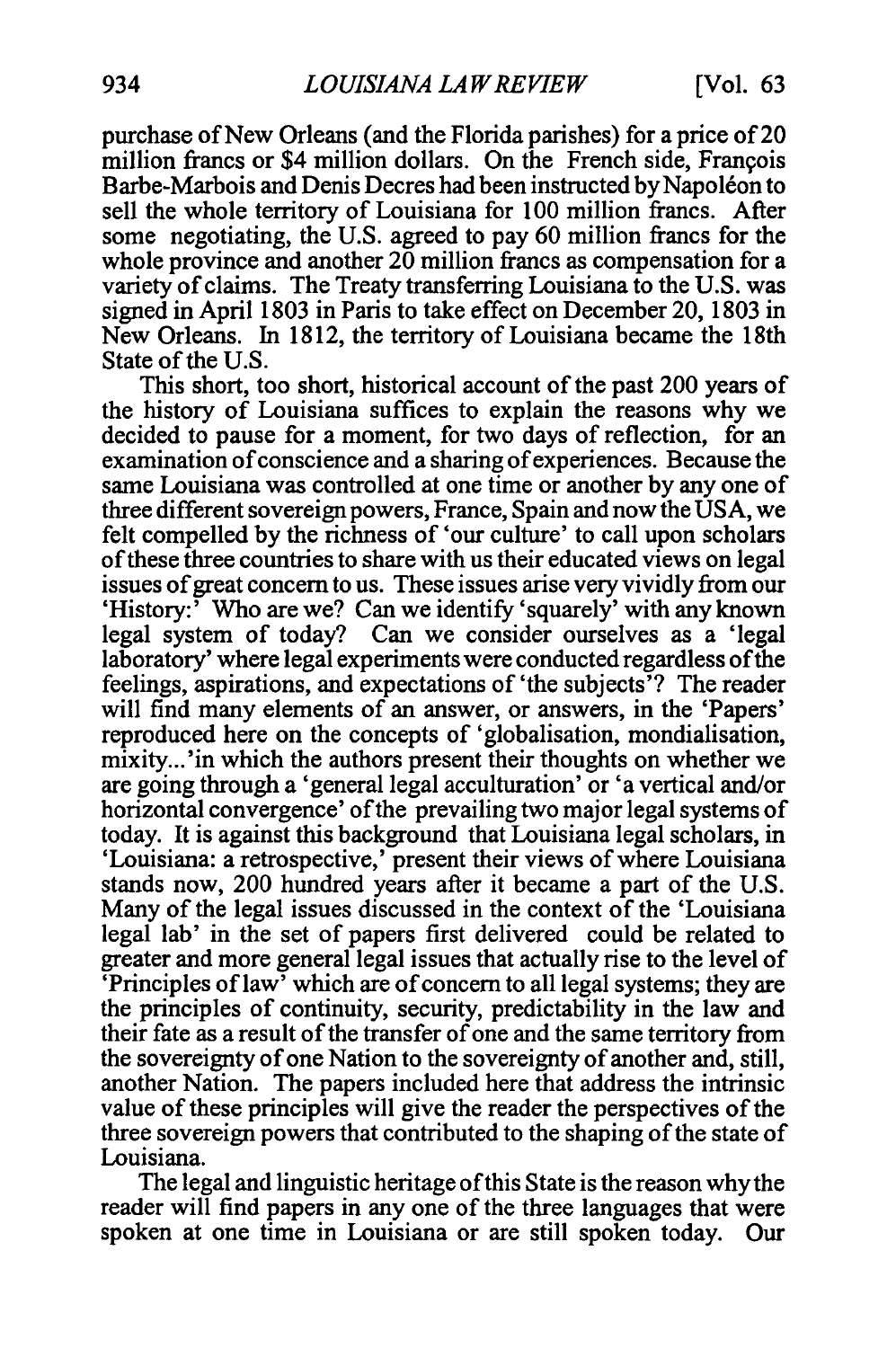purchase of New Orleans (and the Florida parishes) for a price of 20 million francs or \$4 million dollars. On the French side, Francois Barbe-Marbois and Denis Decres had been instructed by Napoléon to sell the whole territory of Louisiana for 100 million francs. After some negotiating, the U.S. agreed to pay 60 million francs for the whole province and another 20 million francs as compensation for a variety of claims. The Treaty transferring Louisiana to the U.S. was signed in April 1803 in Paris to take effect on December 20, 1803 in New Orleans. In 1812, the territory of Louisiana became the 18th State of the U.S.

This short, too short, historical account of the past 200 years of the history of Louisiana suffices to explain the reasons why we decided to pause for a moment, for two days of reflection, for an examination of conscience and a sharing of experiences. Because the same Louisiana was controlled at one time or another by any one of three different sovereign powers, France, Spain and now the USA, we felt compelled by the richness of 'our culture' to call upon scholars ofthese three countries to share with us their educated views on legal issues of great concern to us. These issues arise very vividly from our 'History:<sup>7</sup> Who are we? Can we identify 'squarely' with any known legal system of today? Can we consider ourselves as a 'legal laboratory' where legal experiments were conducted regardless of the feelings, aspirations, and expectations of 'the subjects'? The reader will find many elements of an answer, or answers, in the 'Papers' reproduced here on the concepts of 'globalisation, mondialisation, mixity...'in which the authors present their thoughts on whether we are going through a 'general legal acculturation' or 'a vertical and/or horizontal convergence' of the prevailing two major legal systems of today. It is against this background that Louisiana legal scholars, in 'Louisiana: a retrospective,' present their views of where Louisiana stands now, 200 hundred years after it became a part of the U.S. Many of the legal issues discussed in the context of the 'Louisiana legal lab' in the set of papers first delivered could be related to greater and more general legal issues that actually rise to the level of 'Principles of law' which are of concern to all legal systems; they are the principles of continuity, security, predictability in the law and their fate as a result of the transfer of one and the same territory from the sovereignty of one Nation to the sovereignty of another and, still, another Nation. The papers included here that address the intrinsic value of these principles will give the reader the perspectives of the three sovereign powers that contributed to the shaping of the state of Louisiana.

The legal and linguistic heritage ofthis State is the reason why the reader will find papers in any one of the three languages that were spoken at one time in Louisiana or are still spoken today. Our